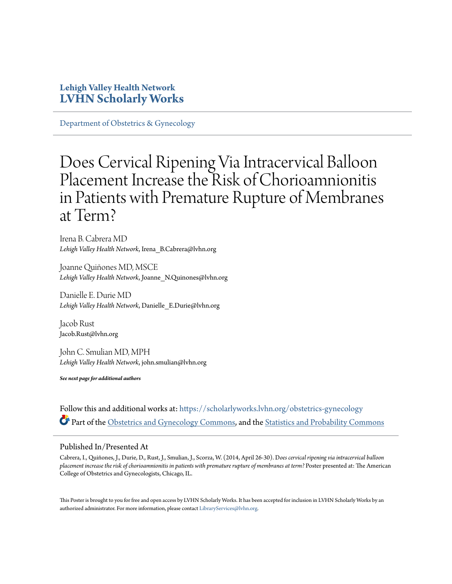#### **Lehigh Valley Health Network [LVHN Scholarly Works](https://scholarlyworks.lvhn.org?utm_source=scholarlyworks.lvhn.org%2Fobstetrics-gynecology%2F338&utm_medium=PDF&utm_campaign=PDFCoverPages)**

[Department of Obstetrics & Gynecology](https://scholarlyworks.lvhn.org/obstetrics-gynecology?utm_source=scholarlyworks.lvhn.org%2Fobstetrics-gynecology%2F338&utm_medium=PDF&utm_campaign=PDFCoverPages)

#### Does Cervical Ripening Via Intracervical Balloon Placement Increase the Risk of Chorioamnionitis in Patients with Premature Rupture of Membranes at Term?

Irena B. Cabrera MD *Lehigh Valley Health Network*, Irena\_B.Cabrera@lvhn.org

Joanne Quiñones MD, MSCE *Lehigh Valley Health Network*, Joanne\_N.Quinones@lvhn.org

Danielle E. Durie MD *Lehigh Valley Health Network*, Danielle\_E.Durie@lvhn.org

Jacob Rust Jacob.Rust@lvhn.org

John C. Smulian MD, MPH *Lehigh Valley Health Network*, john.smulian@lvhn.org

*See next page for additional authors*

Follow this and additional works at: [https://scholarlyworks.lvhn.org/obstetrics-gynecology](https://scholarlyworks.lvhn.org/obstetrics-gynecology?utm_source=scholarlyworks.lvhn.org%2Fobstetrics-gynecology%2F338&utm_medium=PDF&utm_campaign=PDFCoverPages) Part of the [Obstetrics and Gynecology Commons,](http://network.bepress.com/hgg/discipline/693?utm_source=scholarlyworks.lvhn.org%2Fobstetrics-gynecology%2F338&utm_medium=PDF&utm_campaign=PDFCoverPages) and the [Statistics and Probability Commons](http://network.bepress.com/hgg/discipline/208?utm_source=scholarlyworks.lvhn.org%2Fobstetrics-gynecology%2F338&utm_medium=PDF&utm_campaign=PDFCoverPages)

#### Published In/Presented At

Cabrera, I., Quiñones, J., Durie, D., Rust, J., Smulian, J., Scorza, W. (2014, April 26-30). D*oes cervical ripening via intracervical balloon placement increase the risk of chorioamnionitis in patients with premature rupture of membranes at term?* Poster presented at: The American College of Obstetrics and Gynecologists, Chicago, IL.

This Poster is brought to you for free and open access by LVHN Scholarly Works. It has been accepted for inclusion in LVHN Scholarly Works by an authorized administrator. For more information, please contact [LibraryServices@lvhn.org.](mailto:LibraryServices@lvhn.org)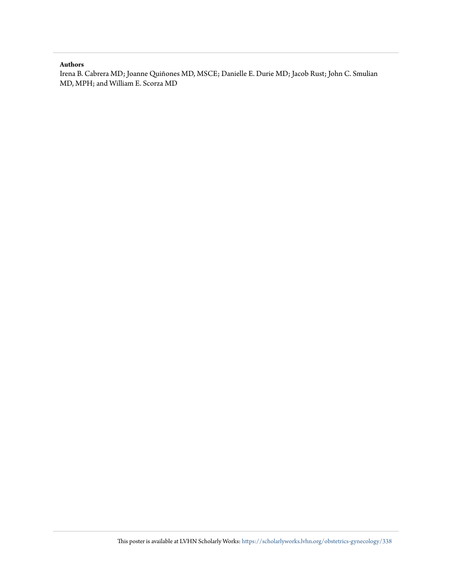#### **Authors**

Irena B. Cabrera MD; Joanne Quiñones MD, MSCE; Danielle E. Durie MD; Jacob Rust; John C. Smulian MD, MPH; and William E. Scorza MD